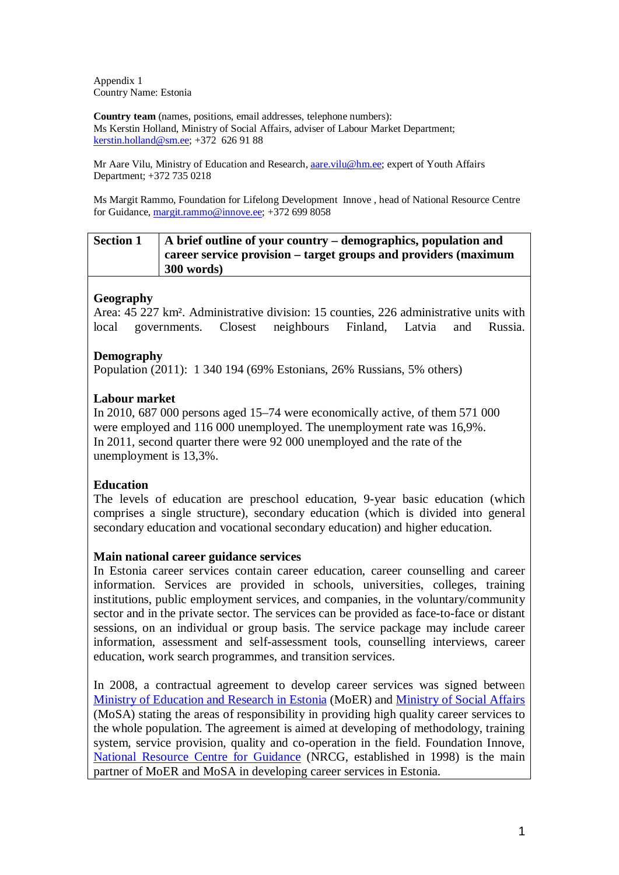Appendix 1 Country Name: Estonia

**Country team** (names, positions, email addresses, telephone numbers): Ms Kerstin Holland, Ministry of Social Affairs, adviser of Labour Market Department; [kerstin.holland@sm.ee;](mailto:kerstin.holland@sm.ee) +372 626 91 88

Mr Aare Vilu, Ministry of Education and Research, *aare.vilu@hm.ee*; expert of Youth Affairs Department; +372 735 0218

Ms Margit Rammo, Foundation for Lifelong Development Innove , head of National Resource Centre for Guidance[, margit.rammo@innove.ee;](mailto:margit.rammo@innove.ee) +372 699 8058

# **Section 1 A brief outline of your country – demographics, population and career service provision – target groups and providers (maximum 300 words)**

# **Geography**

Area: 45 227 km². Administrative division: 15 counties, 226 administrative units with local governments. Closest neighbours Finland, Latvia and Russia.

### **Demography**

Population (2011): 1 340 194 (69% Estonians, 26% Russians, 5% others)

## **Labour market**

In 2010, 687 000 persons aged 15–74 were economically active, of them 571 000 were employed and 116 000 unemployed. The unemployment rate was 16,9%. In 2011, second quarter there were 92 000 unemployed and the rate of the unemployment is 13,3%.

# **Education**

The levels of education are preschool education, 9-year basic education (which comprises a single structure), secondary education (which is divided into general secondary education and vocational secondary education) and higher education.

### **Main national career guidance services**

In Estonia career services contain career education, career counselling and career information. Services are provided in schools, universities, colleges, training institutions, public employment services, and companies, in the voluntary/community sector and in the private sector. The services can be provided as face-to-face or distant sessions, on an individual or group basis. The service package may include career information, assessment and self-assessment tools, counselling interviews, career education, work search programmes, and transition services.

In 2008, a contractual agreement to develop career services was signed between [Ministry of Education](http://www.innove.ee/30070) and Research in Estonia (MoER) and [Ministry of Social Affairs](http://www.innove.ee/30071) (MoSA) stating the areas of responsibility in providing high quality career services to the whole population. The agreement is aimed at developing of methodology, training system, service provision, quality and co-operation in the field. Foundation Innove, [National Resource Centre for Guidance](http://www.innove.ee/30072) (NRCG, established in 1998) is the main partner of MoER and MoSA in developing career services in Estonia.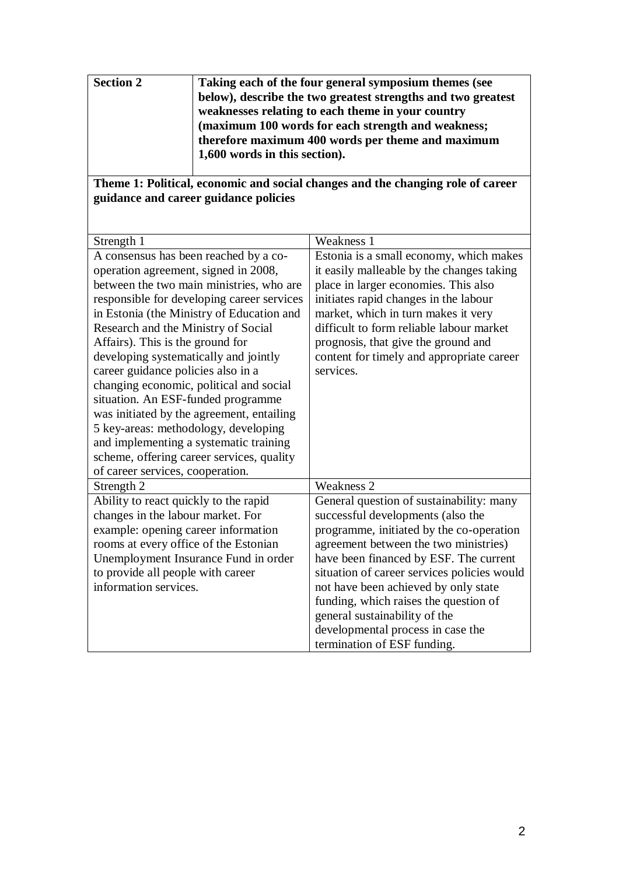| <b>Section 2</b> | Taking each of the four general symposium themes (see        |
|------------------|--------------------------------------------------------------|
|                  | below), describe the two greatest strengths and two greatest |
|                  | weaknesses relating to each theme in your country            |
|                  | (maximum 100 words for each strength and weakness;           |
|                  | therefore maximum 400 words per theme and maximum            |
|                  | 1,600 words in this section).                                |
|                  |                                                              |

## **Theme 1: Political, economic and social changes and the changing role of career guidance and career guidance policies**

| Strength 1                                 | Weakness 1                                  |
|--------------------------------------------|---------------------------------------------|
| A consensus has been reached by a co-      | Estonia is a small economy, which makes     |
| operation agreement, signed in 2008,       | it easily malleable by the changes taking   |
| between the two main ministries, who are   | place in larger economies. This also        |
| responsible for developing career services | initiates rapid changes in the labour       |
| in Estonia (the Ministry of Education and  | market, which in turn makes it very         |
| Research and the Ministry of Social        | difficult to form reliable labour market    |
| Affairs). This is the ground for           | prognosis, that give the ground and         |
| developing systematically and jointly      | content for timely and appropriate career   |
| career guidance policies also in a         | services.                                   |
| changing economic, political and social    |                                             |
| situation. An ESF-funded programme         |                                             |
| was initiated by the agreement, entailing  |                                             |
| 5 key-areas: methodology, developing       |                                             |
| and implementing a systematic training     |                                             |
| scheme, offering career services, quality  |                                             |
| of career services, cooperation.           |                                             |
| Strength 2                                 | Weakness 2                                  |
| Ability to react quickly to the rapid      | General question of sustainability: many    |
| changes in the labour market. For          | successful developments (also the           |
| example: opening career information        | programme, initiated by the co-operation    |
| rooms at every office of the Estonian      | agreement between the two ministries)       |
| Unemployment Insurance Fund in order       | have been financed by ESF. The current      |
| to provide all people with career          | situation of career services policies would |
| information services.                      | not have been achieved by only state        |
|                                            | funding, which raises the question of       |
|                                            | general sustainability of the               |
|                                            | developmental process in case the           |
|                                            | termination of ESF funding.                 |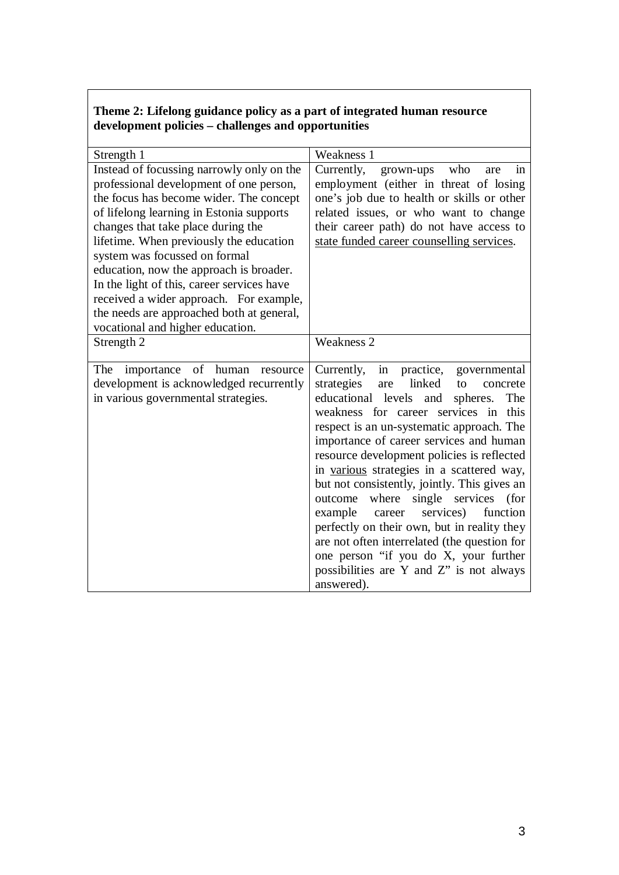# **Theme 2: Lifelong guidance policy as a part of integrated human resource development policies – challenges and opportunities**

| Strength 1                                                                                                                                                                                                                                                                                                                                                                                                                                                                                                         | Weakness 1                                                                                                                                                                                                                                                                                                                                                                                                                                                                                                                                                                                                                                                                                                         |
|--------------------------------------------------------------------------------------------------------------------------------------------------------------------------------------------------------------------------------------------------------------------------------------------------------------------------------------------------------------------------------------------------------------------------------------------------------------------------------------------------------------------|--------------------------------------------------------------------------------------------------------------------------------------------------------------------------------------------------------------------------------------------------------------------------------------------------------------------------------------------------------------------------------------------------------------------------------------------------------------------------------------------------------------------------------------------------------------------------------------------------------------------------------------------------------------------------------------------------------------------|
| Instead of focussing narrowly only on the<br>professional development of one person,<br>the focus has become wider. The concept<br>of lifelong learning in Estonia supports<br>changes that take place during the<br>lifetime. When previously the education<br>system was focussed on formal<br>education, now the approach is broader.<br>In the light of this, career services have<br>received a wider approach. For example,<br>the needs are approached both at general,<br>vocational and higher education. | Currently,<br>who<br>grown-ups<br>are<br>in<br>employment (either in threat of losing<br>one's job due to health or skills or other<br>related issues, or who want to change<br>their career path) do not have access to<br>state funded career counselling services.                                                                                                                                                                                                                                                                                                                                                                                                                                              |
| Strength 2                                                                                                                                                                                                                                                                                                                                                                                                                                                                                                         | <b>Weakness 2</b>                                                                                                                                                                                                                                                                                                                                                                                                                                                                                                                                                                                                                                                                                                  |
| importance of human resource<br>The<br>development is acknowledged recurrently<br>in various governmental strategies.                                                                                                                                                                                                                                                                                                                                                                                              | Currently,<br>in<br>practice,<br>governmental<br>linked<br>strategies<br>to<br>concrete<br>are<br>educational levels and<br>The<br>spheres.<br>weakness for career services in this<br>respect is an un-systematic approach. The<br>importance of career services and human<br>resource development policies is reflected<br>in various strategies in a scattered way,<br>but not consistently, jointly. This gives an<br>where single services<br>outcome<br>(for<br>services)<br>example<br>function<br>career<br>perfectly on their own, but in reality they<br>are not often interrelated (the question for<br>one person "if you do X, your further<br>possibilities are Y and Z" is not always<br>answered). |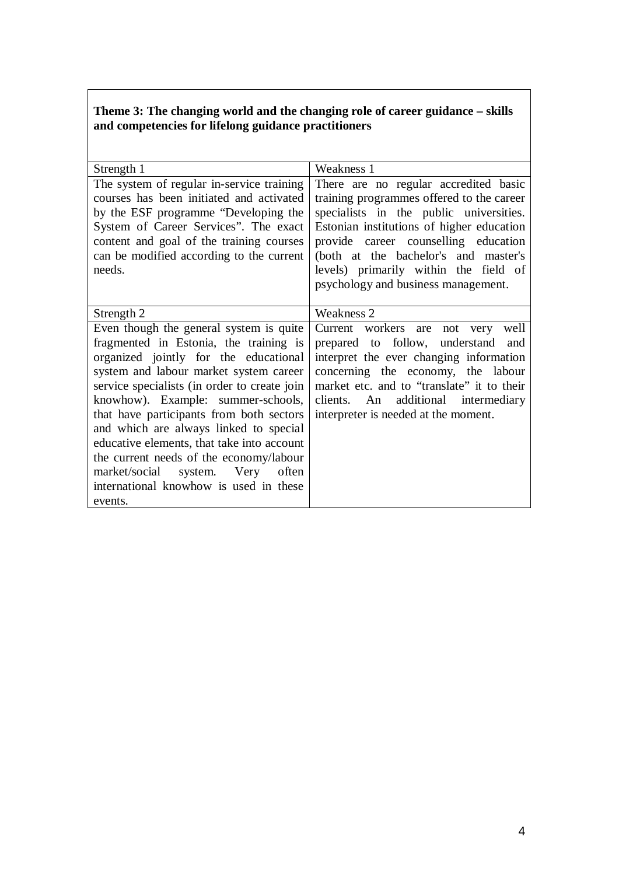# **Theme 3: The changing world and the changing role of career guidance – skills and competencies for lifelong guidance practitioners**

| Strength 1                                                                                                                                                                                                                                                                                                                                                                                                                                                                                                                            | Weakness 1                                                                                                                                                                                                                                                                                                                                 |
|---------------------------------------------------------------------------------------------------------------------------------------------------------------------------------------------------------------------------------------------------------------------------------------------------------------------------------------------------------------------------------------------------------------------------------------------------------------------------------------------------------------------------------------|--------------------------------------------------------------------------------------------------------------------------------------------------------------------------------------------------------------------------------------------------------------------------------------------------------------------------------------------|
| The system of regular in-service training<br>courses has been initiated and activated<br>by the ESF programme "Developing the<br>System of Career Services". The exact<br>content and goal of the training courses<br>can be modified according to the current<br>needs.                                                                                                                                                                                                                                                              | There are no regular accredited basic<br>training programmes offered to the career<br>specialists in the public universities.<br>Estonian institutions of higher education<br>provide career counselling education<br>(both at the bachelor's and master's<br>levels) primarily within the field of<br>psychology and business management. |
| Strength 2                                                                                                                                                                                                                                                                                                                                                                                                                                                                                                                            | Weakness 2                                                                                                                                                                                                                                                                                                                                 |
| Even though the general system is quite<br>fragmented in Estonia, the training is<br>organized jointly for the educational<br>system and labour market system career<br>service specialists (in order to create join<br>knowhow). Example: summer-schools,<br>that have participants from both sectors<br>and which are always linked to special<br>educative elements, that take into account<br>the current needs of the economy/labour<br>market/social system. Very<br>often<br>international knowhow is used in these<br>events. | Current workers are<br>not very<br>well<br>prepared to follow,<br>understand<br>and<br>interpret the ever changing information<br>concerning the economy, the labour<br>market etc. and to "translate" it to their<br>clients. An additional intermediary<br>interpreter is needed at the moment.                                          |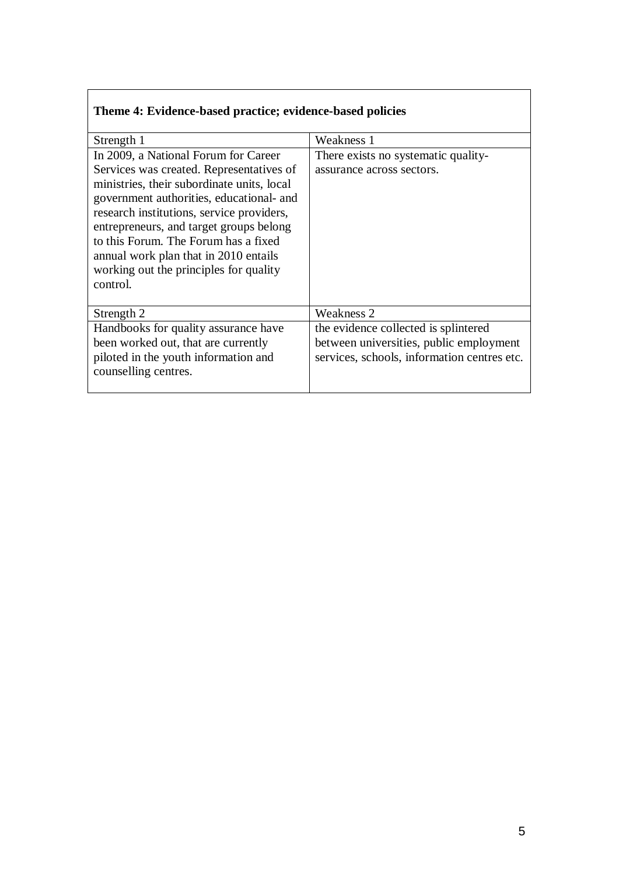| Theme 4: Evidence-based practice; evidence-based policies                                                                                                                                                                                                                                                                                                                                                 |                                                                                                                                |
|-----------------------------------------------------------------------------------------------------------------------------------------------------------------------------------------------------------------------------------------------------------------------------------------------------------------------------------------------------------------------------------------------------------|--------------------------------------------------------------------------------------------------------------------------------|
| Strength 1                                                                                                                                                                                                                                                                                                                                                                                                | Weakness 1                                                                                                                     |
| In 2009, a National Forum for Career<br>Services was created. Representatives of<br>ministries, their subordinate units, local<br>government authorities, educational- and<br>research institutions, service providers,<br>entrepreneurs, and target groups belong<br>to this Forum. The Forum has a fixed<br>annual work plan that in 2010 entails<br>working out the principles for quality<br>control. | There exists no systematic quality-<br>assurance across sectors.                                                               |
| Strength 2                                                                                                                                                                                                                                                                                                                                                                                                | Weakness 2                                                                                                                     |
| Handbooks for quality assurance have<br>been worked out, that are currently<br>piloted in the youth information and<br>counselling centres.                                                                                                                                                                                                                                                               | the evidence collected is splintered<br>between universities, public employment<br>services, schools, information centres etc. |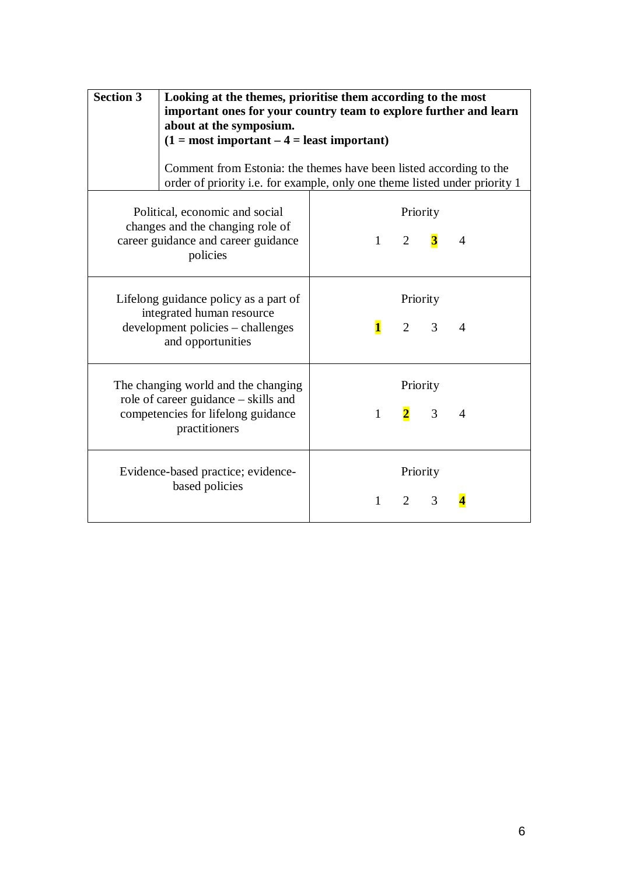| <b>Section 3</b> | Looking at the themes, prioritise them according to the most<br>important ones for your country team to explore further and learn<br>about at the symposium.<br>$(1 = most important – 4 = least important)$<br>Comment from Estonia: the themes have been listed according to the<br>order of priority i.e. for example, only one theme listed under priority 1 |              |                            |                             |                |
|------------------|------------------------------------------------------------------------------------------------------------------------------------------------------------------------------------------------------------------------------------------------------------------------------------------------------------------------------------------------------------------|--------------|----------------------------|-----------------------------|----------------|
|                  | Political, economic and social<br>changes and the changing role of<br>career guidance and career guidance<br>policies                                                                                                                                                                                                                                            |              | $1 \quad 2 \quad 3$        | Priority                    | $\overline{4}$ |
|                  | Lifelong guidance policy as a part of<br>integrated human resource<br>development policies – challenges<br>and opportunities                                                                                                                                                                                                                                     | $\mathbf{1}$ |                            | Priority<br>$2 \quad 3$     | $\overline{A}$ |
|                  | The changing world and the changing<br>role of career guidance – skills and<br>competencies for lifelong guidance<br>practitioners                                                                                                                                                                                                                               | $\mathbf{1}$ |                            | Priority<br>$\frac{2}{3}$ 3 | $\overline{4}$ |
|                  | Evidence-based practice; evidence-<br>based policies                                                                                                                                                                                                                                                                                                             | $1 \quad$    | Priority<br>$\overline{2}$ | 3                           |                |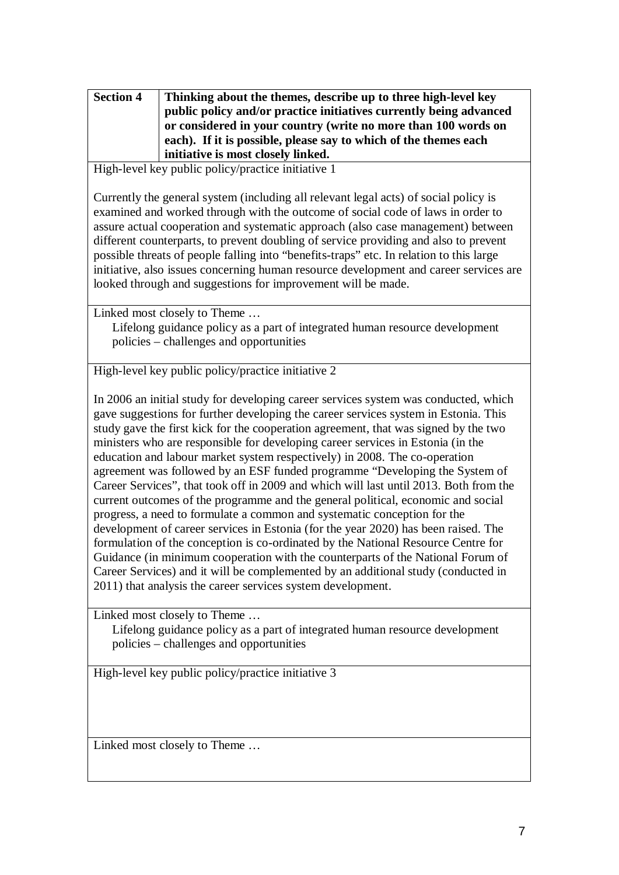| <b>Section 4</b> | Thinking about the themes, describe up to three high-level key<br>public policy and/or practice initiatives currently being advanced<br>or considered in your country (write no more than 100 words on<br>each). If it is possible, please say to which of the themes each |
|------------------|----------------------------------------------------------------------------------------------------------------------------------------------------------------------------------------------------------------------------------------------------------------------------|
|                  | initiative is most closely linked.                                                                                                                                                                                                                                         |

High-level key public policy/practice initiative 1

Currently the general system (including all relevant legal acts) of social policy is examined and worked through with the outcome of social code of laws in order to assure actual cooperation and systematic approach (also case management) between different counterparts, to prevent doubling of service providing and also to prevent possible threats of people falling into "benefits-traps" etc. In relation to this large initiative, also issues concerning human resource development and career services are looked through and suggestions for improvement will be made.

Linked most closely to Theme …

Lifelong guidance policy as a part of integrated human resource development policies – challenges and opportunities

High-level key public policy/practice initiative 2

In 2006 an initial study for developing career services system was conducted, which gave suggestions for further developing the career services system in Estonia. This study gave the first kick for the cooperation agreement, that was signed by the two ministers who are responsible for developing career services in Estonia (in the education and labour market system respectively) in 2008. The co-operation agreement was followed by an ESF funded programme "Developing the System of Career Services", that took off in 2009 and which will last until 2013. Both from the current outcomes of the programme and the general political, economic and social progress, a need to formulate a common and systematic conception for the development of career services in Estonia (for the year 2020) has been raised. The formulation of the conception is co-ordinated by the National Resource Centre for Guidance (in minimum cooperation with the counterparts of the National Forum of Career Services) and it will be complemented by an additional study (conducted in 2011) that analysis the career services system development.

Linked most closely to Theme …

Lifelong guidance policy as a part of integrated human resource development policies – challenges and opportunities

High-level key public policy/practice initiative 3

Linked most closely to Theme …